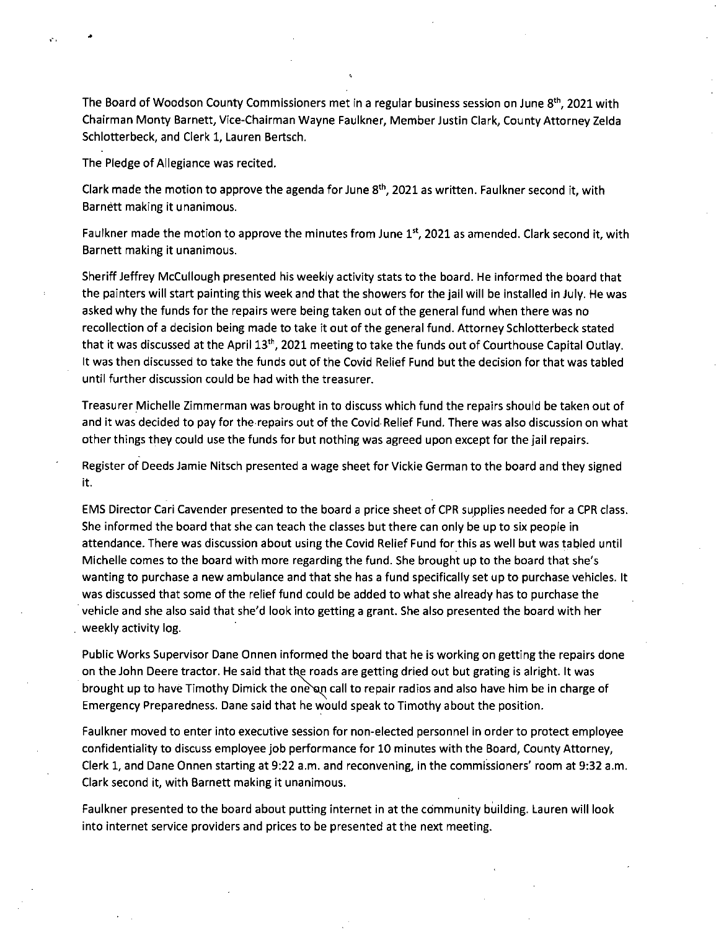The Board of Woodson County Commissioners met in a regular business session on June  $8<sup>th</sup>$ , 2021 with Chairman Monty Barnett, Vice-Chairman Wayne Faulkner, Member Justin Clark, County Attorney Zelda Schlotterbeck, and Clerk 1, Lauren Bertsch.

The Pledge of Allegiance was recited.

A.

Clark made the motion to approve the agenda for June 8<sup>th</sup>, 2021 as written. Faulkner second it, with Barnett making it unanimous.

Faulkner made the motion to approve the minutes from June 1st, 2021 as amended. Clark second it, with Barnett making it unanimous.

Sheriff Jeffrey McCullough presented his weekly activity stats to the board. He informed the board that the painters will start painting this week and that the showers for the jail will be installed in July. He was asked why the funds for the repairs were being taken out of the general fund when there was no recollection of a decision being made to take it out of the general fund. Attorney Schlotterbeck stated that it was discussed at the April 13<sup>th</sup>, 2021 meeting to take the funds out of Courthouse Capital Outlay. It was then discussed to take the funds out of the Covid Relief Fund but the decision for that was tabled until further discussion could be had with the treasurer.

Treasurer Michelle Zimmerman was brought in to discuss which fund the repairs should be taken out of and it was decided to pay for the repairs out of the Covid Relief Fund. There was also discussion on what other things they could use the funds for but nothing was agreed upon except for the jail repairs.

Register of Deeds Jamie Nitsch presented a wage sheet for Vickie German to the board and they signed it.

EMS Director Cari Cavender presented to the board a price sheet of CPR supplies needed for a CPR class. She informed the board that she can teach the classes but there can only be up to six people in attendance. There was discussion about using the Covid Relief Fund for this as well but was tabled until Michelle comes to the board with more regarding the fund. She brought up to the board that she's wanting to purchase a new ambulance and that she has a fund specifically set up to purchase vehicles. It was discussed that some of the relief fund could be added to what she already has to purchase the vehicle and she also said that she'd look into getting a grant. She also presented the board with her weekly activity log.

Public Works Supervisor Dane Onnen informed the board that he is working on getting the repairs done on the John Deere tractor. He said that the roads are getting dried out but grating is alright. It was brought up to have Timothy Dimick the one an call to repair radios and also have him be in charge of Emergency Preparedness. Dane said that he would speak to Timothy about the position.

Faulkner moved to enter into executive session for non-elected personnel in order to protect employee confidentiality to discuss employee job performance for 10 minutes with the Board, County Attorney, Clerk 1, and Dane Onnen starting at 9:22 a.m. and reconvening, in the commissioners' room at 9:32 a.m. Clark second it, with Barnett making it unanimous.

Faulkner presented to the board about putting internet in at the community building. Lauren will look into internet service providers and prices to be presented at the next meeting.